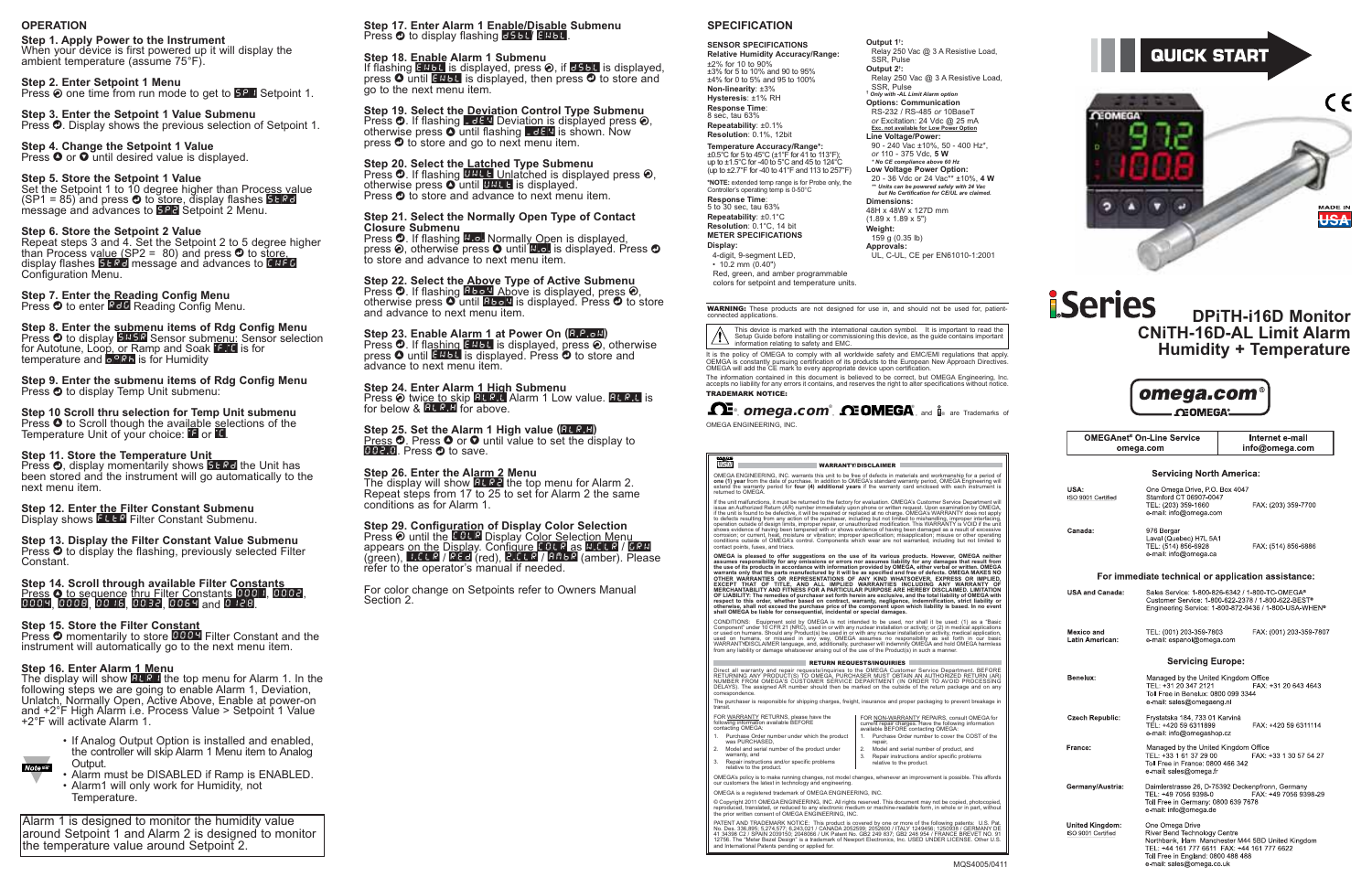## **Step 18. Enable Alarm 1 Submenu**

If flashing ENBL is displayed, press a, if DSBL is displayed, press  $\bullet$  until ENBL is displayed, then press  $\bullet$  to store and go to the next menu item.

**Step 19. Select the Deviation Control Type Submenu** Press d. If flashing \_DEV Deviation is displayed press a, otherwise press  $\bullet$  until flashing LdEV is shown. Now press d to store and go to next menu item.

## **Step 20. Select the Latched Type Submenu**<br>Press **O**. If flashing **UNLE** Unlatched is displayed press **©**, otherwise press  $\bullet$  until UNLE is displayed. Press  $\bullet$  to store and advance to next menu item.

Press O. If flashing N.o. Normally Open is displayed, press ❷, otherwise press ❹ until <u>N.o.</u> is displayed. Press ❹ to store and advance to next menu item.

## **Step 24. Enter Alarm 1 High Submenu** Press a twice to skip ALR.L Alarm 1 Low value. ALR.L is for below  $\&$  **ELR.H** for above.

Step 25. Set the Alarm 1 High value (**ALR.H**) Press O. Press O or O until value to set the display to<br>002.0. Press O to save. **GGC.** Press  $\bullet$  to save.

## **Step 21. Select the Normally Open Type of Contact Closure Submenu**

The display will show **BLR2** the top menu for Alarm 2. Repeat steps from 17 to 25 to set for Alarm 2 the same conditions as for Alarm 1.

#### **Step 29. Configuration of Display Color Selection** Press **☉** until the E BL B Display Co<u>lor Se</u>lect<u>ion Me</u>nu appears <u>on the</u> D<u>isplay</u>. Con<u>figure COLR as N.CLR</u> / GRN (green), I.CLR / REd (red), <mark>2.CLR / ЯЛЬР (amber). Please</mark> refer to the operator's manual if needed.

## **Step 22. Select the Above Type of Active Submenu** Press d. If flashing ABoV Above is displayed, press a, otherwise press  $\bullet$  until **Bbo** V is displayed. Press  $\bullet$  to store and advance to next menu item.

## **iSeries DPiTH-i16D Monitor CNiTH-16D-AL Limit Alarm Humidity + Temperature**



**OMEGAnet<sup>®</sup> On-Line Service** omega.com

Internet e-mail info@omega.com

#### **Servicing North America:**

| USA:<br>ISO 9001 Certified                   | One Omega Drive, PO. Box 4047<br>Stamford CT 06907-0047<br>TEL: (203) 359-1660<br>e-mail: info@omega.com                                                                                                                | FAX: (203) 359-7700     |
|----------------------------------------------|-------------------------------------------------------------------------------------------------------------------------------------------------------------------------------------------------------------------------|-------------------------|
| Canada:                                      | 976 Bergar<br>Laval (Quebec) H7L 5A1<br>TEL: (514) 856-6928<br>e-mail: info@omega.ca                                                                                                                                    | FAX: (514) 856-6886     |
|                                              | For immediate technical or application assistance:                                                                                                                                                                      |                         |
| <b>USA and Canada:</b>                       | Sales Service: 1-800-826-6342 / 1-800-TC-OMEGA®<br>Customer Service: 1-800-622-2378 / 1-800-622-BEST®<br>Engineering Service: 1-800-872-9436 / 1-800-USA-WHEN <sup>®</sup>                                              |                         |
| Mexico and<br>Latin American:                | TEL: (001) 203-359-7803<br>e-mail: espanol@omega.com                                                                                                                                                                    | FAX: (001) 203-359-7807 |
|                                              | <b>Servicing Europe:</b>                                                                                                                                                                                                |                         |
| Benelux:                                     | Managed by the United Kingdom Office<br>TEL: +31 20 347 2121<br>Toll Free in Benelux: 0800 099 3344<br>e-mail: sales@omegaeng.nl                                                                                        | FAX: +31 20 643 4643    |
| <b>Czech Republic:</b>                       | Frystatska 184, 733 01 Karviná<br>TEL: +420 59 6311899<br>e-mail: info@omegashop.cz                                                                                                                                     | FAX: +420 59 6311114    |
| France:                                      | Managed by the United Kingdom Office<br>TEL: +33 1 61 37 29 00<br>Toll Free in France: 0800 466 342<br>e-mail: sales@omega fr                                                                                           | FAX: +33 1 30 57 54 27  |
| Germany/Austria:                             | Daimlerstrasse 26, D-75392 Deckenpfronn, Germany<br>TEL: +49 7056 9398-0<br>Toll Free in Germany: 0800 639 7678<br>e-mail: info@omega.de                                                                                | FAX: +49 7056 9398-29   |
| <b>United Kingdom:</b><br>ISO 9001 Certified | One Omega Drive<br>River Bend Technology Centre<br>Northbank, Irlam Manchester M44 5BD United Kingdom<br>TEL: +44 161 777 6611 FAX: +44 161 777 6622<br>Toll Free in England: 0800 488 488<br>e-mail: sales@omega.co.uk |                         |

When your device is first powered up it will display the ambient temperature (assume 75°F).

**Step 3. Enter the Setpoint 1 Value Submenu** Press  $\bullet$ . Display shows the previous selection of Setpoint 1.

> **Step 23. Enable Alarm 1 at Power On (**A.P.oN**)** Press **O**. If flashing ENBL is displayed, press **O**, otherwise press  $\bullet$  until ENBL is displayed. Press  $\bullet$  to store and advance to next menu item.

**Step 4. Change the Setpoint 1 Value**  Press  $\bullet$  or  $\bullet$  until desired value is displayed.

Set the Setpoint 1 to 10 degree higher than Process value (SP1 = 85) and press d to store, display flashes STRD message and advances to EP2 Setpoint 2 Menu.

**Step 8. Enter the submenu items of Rdg Config Menu** Press d to display SNSR Sensor submenu: Sensor selection for Autotune, Loop, or Ramp and Soak F.Y. is for temperature and <mark>o <sup>o</sup>.R.h.</mark> is for Humidity

## **Step 26. Enter the Alarm 2 Menu**

**Step 9. Enter the submenu items of Rdg Config Menu** Press <sup>o</sup> to display Temp Unit submenu:

**Step 10 Scroll thru selection for Temp Unit submenu** Press  $\bullet$  to Scroll though the available selections of the Temperature Unit of your choice: **F** or **E**.

Press  $\bm{\odot}$ , display momentarily shows **5 FR** dthe Unit has been stored and the instrument will go automatically to the next menu item.

#### **Step 12. Enter the Filter Constant Submenu** Display shows FLLR Filter Constant Submenu.

Press  $\bm{\odot}$  to display the flashing, previously selected Filter Constant.

# Step 14. Scroll through available Filter Constants<br>Press **O** to sequence thru Filter Constants 000 1, 0002,<br>0009, 0008, 00 16, 0032, 0069 and 0 128.

For color change on Setpoints refer to Owners Manual Section 2.

Press <sup>o</sup> momentarily to store **0004** Filter Constant and the instrument will automatically go to the next menu item.

## **OPERATION**

## **Step 1. Apply Power to the Instrument**

The display will show **ALR I** the top menu for Alarm 1. In the following steps we are going to enable Alarm 1, Deviation, Unlatch, Normally Open, Active Above, Enable at power-on and +2°F High Alarm i.e. Process Value > Setpoint 1 Value +2°F will activate Alarm 1.

## **Step 2. Enter Setpoint 1 Menu**

Press **⊙** one time from run mode to get to **5P** I Setpoint 1.

## **Step 5. Store the Setpoint 1 Value**

## **Step 6. Store the Setpoint 2 Value**

Repeat steps 3 and 4. Set the Setpoint 2 to 5 degree higher than Process value (SP2 = 80) and press **O** to s<u>tore,</u> display flashes **STRD** message and advances to **CNFG** Configuration Menu.

## **Step 7. Enter the Reading Config Menu**<br>Press **©** to enter <mark>RCD</mark> Reading Config Menu.

## **Step 11. Store the Temperature Unit**

**Step 13. Display the Filter Constant Value Submenu**

## **Step 15. Store the Filter Constant**

## **Step 16. Enter Alarm 1 Menu**



- Alarm must be DISABLED if Ramp is ENABLED.
- Alarm1 will only work for Humidity, not Temperature.





## **SPECIFICATION**

#### **SENSOR SPECIFICATIONS Relative Humidity Accuracy/Range:** ±2% for 10 to 90% ±3% for 5 to 10% and 90 to 95% ±4% for 0 to 5% and 95 to 100% **Non-linearity**: ±3% **Hysteresis**: ±1% RH **Response Time**: 8 sec, tau 63%

**Repeatability**: ±0.1% **Resolution**: 0.1%, 12bit

**Temperature Accuracy/Range\*:** ±0.5°C for 5 to 45°C (±1°F for 41 to 113°F); up to ±1.5°C for -40 to 5°C and 45 to 124°C (up to ±2.7°F for -40 to 41°F and 113 to 257°F) **\*NOTE:** extended temp range is for Probe only, the

Controller's operating temp is 0-50°C **Response Time**:<br>5 to 30 sec, tau 63% **Repeatability**: ±0.1°C **Resolution**: 0.1°C, 14 bit **METER SPECIFICATIONS Display:**

colors for setpoint and temperature units.

**Output 1† :**

SSR, Pulse **Output 2† :**

SSR, Pulse **†** *Only with -AL Limit Alarm option* **Options: Communication** RS-232 / RS-485 *or* 10BaseT

4-digit, 9-segment LED, • 10.2 mm (0.40") Red, green, and amber programmable UL, C-UL, CE per EN61010-1:2001

*or* Excitation: 24 Vdc @ 25 mA **Exc. not available for Low Power Option Line Voltage/Power:** 90 - 240 Vac ±10%, 50 - 400 Hz\*, *or* 110 - 375 Vdc, **5 W** *\* No CE compliance above 60 Hz* **Low Voltage Power Option:** 20 - 36 Vdc or 24 Vac\*\* ±10%, **4 W** *\*\* Units can be powered safely with 24 Vac but No Certification for CE/UL are claimed.* **Dimensions:** 48H x 48W x 127D mm (1.89 x 1.89 x 5") **Weight:** 159 g (0.35 lb) **Approvals:**

Relay 250 Vac @ 3 A Resistive Load,

Relay 250 Vac @ 3 A Resistive Load,<br>SSR. Pulse

## ®, **omega.com®, <b>AEOMEGA**®, and **i**le are Trademarks of OMEGA ENGINEERING, INC.

#### ust. WARRANTY/DISCLAIMER

OMEGA ENGINEERING, INC. warrants this unit to be free of defects in materials and workmanship for a period of<br>**one (1) year** from the date of purchase. In addition to OMEGA's standard warranty period, OMEGA Engineering wil

If the unit malfunctions, it must be returned to the factory for evaluation. OMEGA's Customer Service Department will<br>issue an Authorized Return (AR) number immediately upon phone or written request. Upon examination by OM

OMEGA is pleased to offer suggestions on the use of its various products. However, OMEGA neither assumes responsibility for any omissions or errors nor assumes liability for any damages that result from<br>the use of its prod OF LIABILITY: The remedies of purchaser set forth herein are exclusive, and the total liability of OMEGA with<br>respect to this order, whether based on contract, warranty, negligence, indemnification, strict liability or<br>oth

CONDITIONS: Equipment sold by OMEGA is not intended to be used, nor shall it be used: (1) as a "Basic<br>Component" under 10 CFR 21 (NRC), used in or with any nuclear installation or activity; or (2) in medical applications<br>o

#### **RETURN REQUESTS/INQUIRIES**

Direct all warranty and repair requests/inquiries to the OMEGA Customer Service Department. BEFORE<br>RETURNING ANY PRODUCT(S) TO OMEGA, PURCHASER MUST OBTAIN AN AUTHORIZED RETURN (AR)<br>NUMBER FROM OMEGA'S CUSTOMER SERVICE DEP

Alarm 1 is designed to monitor the humidity value around Setpoint 1 and Alarm 2 is designed to monitor the temperature value around Setpoint 2.

#### **Step 17. Enter Alarm 1 Enable/Disable Submenu** Press  $\bm{\odot}$  to display flashing **BSBL/ ENBL**.

correspondence. The purchaser is responsible for shipping charges, freight, insurance and proper packaging to prevent breakage in transit.

| FOR WARRANTY RETURNS, please have the<br>following information available BEFORE<br>contacting OMEGA: |                                                                          | FOR NON-WARRANTY REPAIRS, consult OMEGA for<br>current repair charges. Have the following information<br>available BEFORE contacting OMEGA: |                                                                                         |
|------------------------------------------------------------------------------------------------------|--------------------------------------------------------------------------|---------------------------------------------------------------------------------------------------------------------------------------------|-----------------------------------------------------------------------------------------|
|                                                                                                      | 1. Purchase Order number under which the product<br>was PURCHASED.       |                                                                                                                                             | Purchase Order number to cover the COST of the<br>repair.                               |
| 2.                                                                                                   | Model and serial number of the product under<br>warranty, and            |                                                                                                                                             | Model and serial number of product, and<br>Repair instructions and/or specific problems |
| 3.                                                                                                   | Repair instructions and/or specific problems<br>relative to the product. |                                                                                                                                             | relative to the product.                                                                |

OMEGA's policy is to make running changes, not model changes, whenever an improvement is possible. This affords our customers the latest in technology and engineering. OMEGA is a registered trademark of OMEGA ENGINEERING, INC.

© Copyright 2011 OMEGA ENGINEERING, INC. All rights reserved. This document may not be copied, photocopied,<br>reproduced, translated, or reduced to any electronic medium or machine-readable form, in whole or in part, withou

PATENT AND TRADEMARK NOTICE: This product is covered by one or more of the following patents: U.S. Pat.<br>No. Des. 336,895; 5,274,577; 6,243,021 / CANADA 2052599; 2052600 / ITALY 1249456; 1250938 / GERMANY DE<br>41 34398 C2 / S

This device is marked with the international caution symbol. It is important to read the Setup Guide before installing or commissioning this device, as the guide contains important information relating to safety and EMC.

It is the policy of OMEGA to comply with all worldwide safety and EMC/EMI regulations that apply.<br>OEMGA is constantly pursuing certification of its products to the European New Approach Directives.<br>OMEGA will add the CE ma

WARNING: These products are not designed for use in, and should not be used for, patientconnected applications.

The information contained in this document is believed to be correct, but OMEGA Engineering, Inc. accepts no liability for any errors it contains, and reserves the right to alter specifications without notice. TRADEMARK NOTICE: